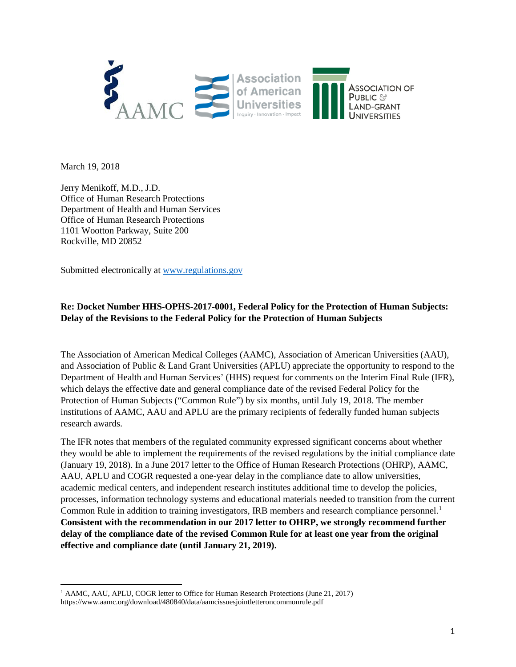

March 19, 2018

 $\overline{\phantom{a}}$ 

Jerry Menikoff, M.D., J.D. Office of Human Research Protections Department of Health and Human Services Office of Human Research Protections 1101 Wootton Parkway, Suite 200 Rockville, MD 20852

Submitted electronically at [www.regulations.gov](http://www.regulations.gov/)

## **Re: Docket Number HHS-OPHS-2017-0001, Federal Policy for the Protection of Human Subjects: Delay of the Revisions to the Federal Policy for the Protection of Human Subjects**

The Association of American Medical Colleges (AAMC), Association of American Universities (AAU), and Association of Public & Land Grant Universities (APLU) appreciate the opportunity to respond to the Department of Health and Human Services' (HHS) request for comments on the Interim Final Rule (IFR), which delays the effective date and general compliance date of the revised Federal Policy for the Protection of Human Subjects ("Common Rule") by six months, until July 19, 2018. The member institutions of AAMC, AAU and APLU are the primary recipients of federally funded human subjects research awards.

The IFR notes that members of the regulated community expressed significant concerns about whether they would be able to implement the requirements of the revised regulations by the initial compliance date (January 19, 2018). In a June 2017 letter to the Office of Human Research Protections (OHRP), AAMC, AAU, APLU and COGR requested a one-year delay in the compliance date to allow universities, academic medical centers, and independent research institutes additional time to develop the policies, processes, information technology systems and educational materials needed to transition from the current Common Rule in addition to training investigators, IRB members and research compliance personnel.<sup>[1](#page-0-0)</sup> **Consistent with the recommendation in our 2017 letter to OHRP, we strongly recommend further delay of the compliance date of the revised Common Rule for at least one year from the original effective and compliance date (until January 21, 2019).**

<span id="page-0-0"></span><sup>&</sup>lt;sup>1</sup> AAMC, AAU, APLU, COGR letter to Office for Human Research Protections (June 21, 2017) https://www.aamc.org/download/480840/data/aamcissuesjointletteroncommonrule.pdf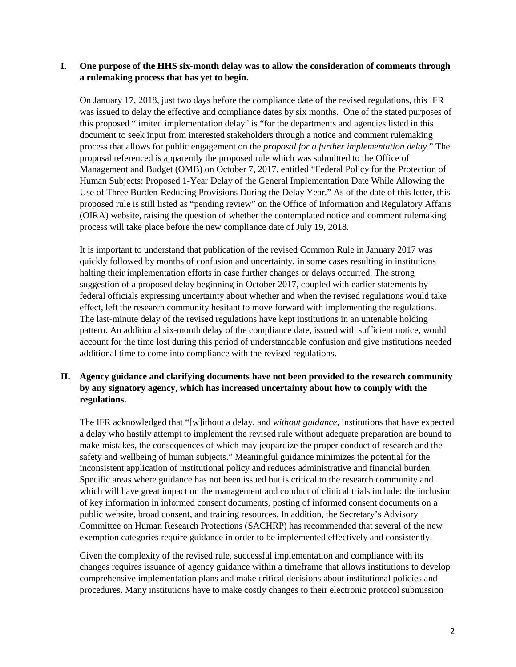## **I. One purpose of the HHS six-month delay was to allow the consideration of comments through a rulemaking process that has yet to begin.**

On January 17, 2018, just two days before the compliance date of the revised regulations, this IFR was issued to delay the effective and compliance dates by six months. One of the stated purposes of this proposed "limited implementation delay" is "for the departments and agencies listed in this document to seek input from interested stakeholders through a notice and comment rulemaking process that allows for public engagement on the *proposal for a further implementation delay*." The proposal referenced is apparently the proposed rule which was submitted to the Office of Management and Budget (OMB) on October 7, 2017, entitled "Federal Policy for the Protection of Human Subjects: Proposed 1-Year Delay of the General Implementation Date While Allowing the Use of Three Burden-Reducing Provisions During the Delay Year." As of the date of this letter, this proposed rule is still listed as "pending review" on the Office of Information and Regulatory Affairs (OIRA) website, raising the question of whether the contemplated notice and comment rulemaking process will take place before the new compliance date of July 19, 2018.

It is important to understand that publication of the revised Common Rule in January 2017 was quickly followed by months of confusion and uncertainty, in some cases resulting in institutions halting their implementation efforts in case further changes or delays occurred. The strong suggestion of a proposed delay beginning in October 2017, coupled with earlier statements by federal officials expressing uncertainty about whether and when the revised regulations would take effect, left the research community hesitant to move forward with implementing the regulations. The last-minute delay of the revised regulations have kept institutions in an untenable holding pattern. An additional six-month delay of the compliance date, issued with sufficient notice, would account for the time lost during this period of understandable confusion and give institutions needed additional time to come into compliance with the revised regulations.

## **II. Agency guidance and clarifying documents have not been provided to the research community by any signatory agency, which has increased uncertainty about how to comply with the regulations.**

The IFR acknowledged that "[w]ithout a delay, and *without guidance*, institutions that have expected a delay who hastily attempt to implement the revised rule without adequate preparation are bound to make mistakes, the consequences of which may jeopardize the proper conduct of research and the safety and wellbeing of human subjects." Meaningful guidance minimizes the potential for the inconsistent application of institutional policy and reduces administrative and financial burden. Specific areas where guidance has not been issued but is critical to the research community and which will have great impact on the management and conduct of clinical trials include: the inclusion of key information in informed consent documents, posting of informed consent documents on a public website, broad consent, and training resources. In addition, the Secretary's Advisory Committee on Human Research Protections (SACHRP) has recommended that several of the new exemption categories require guidance in order to be implemented effectively and consistently.

Given the complexity of the revised rule, successful implementation and compliance with its changes requires issuance of agency guidance within a timeframe that allows institutions to develop comprehensive implementation plans and make critical decisions about institutional policies and procedures. Many institutions have to make costly changes to their electronic protocol submission